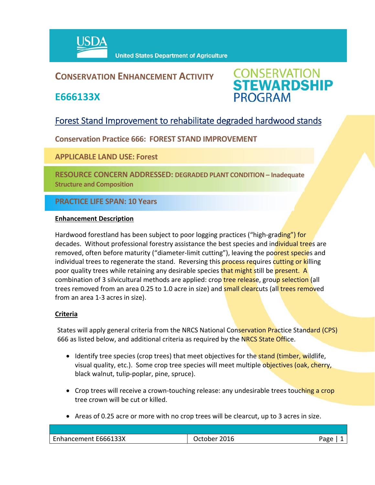

**United States Department of Agriculture** 

## **CONSERVATION ENHANCEMENT ACTIVITY**

**E666133X**



## Forest Stand Improvement to rehabilitate degraded hardwood stands

**Conservation Practice 666: FOREST STAND IMPROVEMENT**

**APPLICABLE LAND USE: Forest** 

**RESOURCE CONCERN ADDRESSED: DEGRADED PLANT CONDITION – Inadequate Structure and Composition**

### **PRACTICE LIFE SPAN: 10 Years**

#### **Enhancement Description**

Hardwood forestland has been subject to poor logging practices ("high-grading") for decades. Without professional forestry assistance the best species and individual trees are removed, often before maturity ("diameter-limit cutting"), leaving the poorest species and individual trees to regenerate the stand. Reversing this **process requires cutting or killing** poor quality trees while retaining any desirable species that might still be present. A combination of 3 silvicultural methods are applied: crop **tree release**, group selection (all trees removed from an area 0.25 to 1.0 acre in size) and small clearcuts (all trees removed from an area 1‐3 acres in size).

#### **Criteria**

States will apply general criteria from the NRCS National Conservation Practice Standard (CPS) 666 as listed below, and additional criteria as required by the NRCS State Office.

- Identify tree species (crop trees) that meet objectives for the **stand (timber, wildlife,** visual quality, etc.). Some crop tree species will meet multiple objectives (oak, cherry, black walnut, tulip‐poplar, pine, spruce).
- Crop trees will receive a crown-touching release: any undesirable trees touching a crop tree crown will be cut or killed.
- Areas of 0.25 acre or more with no crop trees will be clearcut, up to 3 acres in size.

| 2016<br>wortober .<br>- 90 N | Page |
|------------------------------|------|
|                              |      |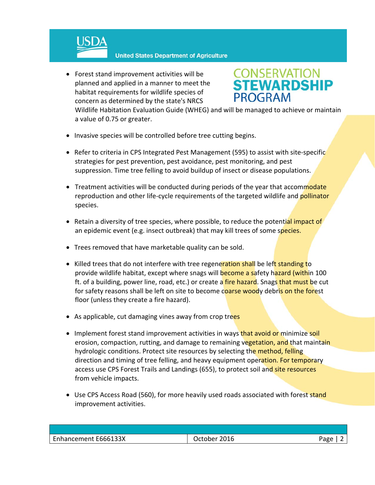

 Forest stand improvement activities will be planned and applied in a manner to meet the habitat requirements for wildlife species of concern as determined by the state's NRCS

# **CONSERVATION<br>STEWARDSHIP PROGRAM**

Wildlife Habitation Evaluation Guide (WHEG) and will be managed to achieve or maintain a value of 0.75 or greater.

- Invasive species will be controlled before tree cutting begins.
- Refer to criteria in CPS Integrated Pest Management (595) to assist with site-specific strategies for pest prevention, pest avoidance, pest monitoring, and pest suppression. Time tree felling to avoid buildup of insect or disease populations.
- Treatment activities will be conducted during periods of the year that accommodate reproduction and other life-cycle requirements of the targeted wildlife and **pollinator** species.
- Retain a diversity of tree species, where possible, to reduce the potential impact of an epidemic event (e.g. insect outbreak) that may kill trees of some species.
- Trees removed that have marketable quality can be sold.
- Killed trees that do not interfere with tree regeneration shall be left standing to provide wildlife habitat, except where snags will become a safety hazard (within 100 ft. of a building, power line, road, etc.) or create a fire hazard. Snags that must be cut for safety reasons shall be left on site to become coarse woody debris on the forest floor (unless they create a fire hazard).
- As applicable, cut damaging vines away from crop trees
- Implement forest stand improvement activities in ways that avoid or minimize soil erosion, compaction, rutting, and damage to remaining vegetation, and that maintain hydrologic conditions. Protect site resources by selecting the method, felling direction and timing of tree felling, and heavy equipment operation. For temporary access use CPS Forest Trails and Landings (655), to protect soil and site resources from vehicle impacts.
- Use CPS Access Road (560), for more heavily used roads associated with forest stand improvement activities.

| E666133X<br>- Enhancement | 2016<br><b><i><u>Jctober</u></i></b> | חסבי |
|---------------------------|--------------------------------------|------|